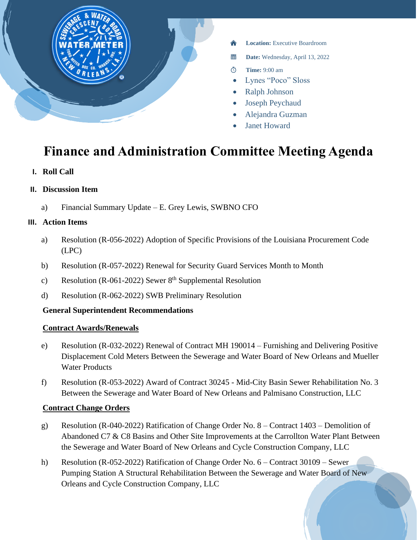

- **Location:** Executive Boardroom
- 醟 **Date:** Wednesday, April 13, 2022
- **Time:** 9:00 am  $\circ$
- Lynes "Poco" Sloss
- Ralph Johnson
- Joseph Peychaud
- Alejandra Guzman
- **Janet Howard**

# **Finance and Administration Committee Meeting Agenda**

**I. Roll Call**

#### **II. Discussion Item**

a) Financial Summary Update – E. Grey Lewis, SWBNO CFO

#### **III. Action Items**

- a) Resolution (R-056-2022) Adoption of Specific Provisions of the Louisiana Procurement Code (LPC)
- b) Resolution (R-057-2022) Renewal for Security Guard Services Month to Month
- c) Resolution (R-061-2022) Sewer  $8<sup>th</sup>$  Supplemental Resolution
- d) Resolution (R-062-2022) SWB Preliminary Resolution

# **General Superintendent Recommendations**

#### **Contract Awards/Renewals**

- e) Resolution (R-032-2022) Renewal of Contract MH 190014 Furnishing and Delivering Positive Displacement Cold Meters Between the Sewerage and Water Board of New Orleans and Mueller Water Products
- f) Resolution (R-053-2022) Award of Contract 30245 Mid-City Basin Sewer Rehabilitation No. 3 Between the Sewerage and Water Board of New Orleans and Palmisano Construction, LLC

# **Contract Change Orders**

- g) Resolution (R-040-2022) Ratification of Change Order No. 8 Contract 1403 Demolition of Abandoned C7 & C8 Basins and Other Site Improvements at the Carrollton Water Plant Between the Sewerage and Water Board of New Orleans and Cycle Construction Company, LLC
- h) Resolution (R-052-2022) Ratification of Change Order No. 6 Contract 30109 Sewer Pumping Station A Structural Rehabilitation Between the Sewerage and Water Board of New Orleans and Cycle Construction Company, LLC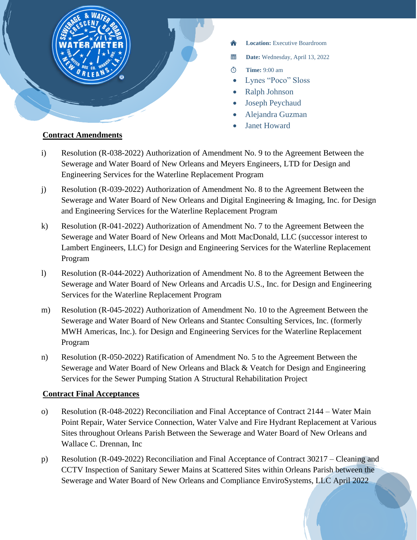

- **Location:** Executive Boardroom
- 當 **Date:** Wednesday, April 13, 2022
- $\circ$ **Time:** 9:00 am
- Lynes "Poco" Sloss
- Ralph Johnson
- Joseph Peychaud
- Alejandra Guzman
- **Janet Howard**

# **Contract Amendments**

- i) Resolution (R-038-2022) Authorization of Amendment No. 9 to the Agreement Between the Sewerage and Water Board of New Orleans and Meyers Engineers, LTD for Design and Engineering Services for the Waterline Replacement Program
- j) Resolution (R-039-2022) Authorization of Amendment No. 8 to the Agreement Between the Sewerage and Water Board of New Orleans and Digital Engineering & Imaging, Inc. for Design and Engineering Services for the Waterline Replacement Program
- k) Resolution (R-041-2022) Authorization of Amendment No. 7 to the Agreement Between the Sewerage and Water Board of New Orleans and Mott MacDonald, LLC (successor interest to Lambert Engineers, LLC) for Design and Engineering Services for the Waterline Replacement Program
- l) Resolution (R-044-2022) Authorization of Amendment No. 8 to the Agreement Between the Sewerage and Water Board of New Orleans and Arcadis U.S., Inc. for Design and Engineering Services for the Waterline Replacement Program
- m) Resolution (R-045-2022) Authorization of Amendment No. 10 to the Agreement Between the Sewerage and Water Board of New Orleans and Stantec Consulting Services, Inc. (formerly MWH Americas, Inc.). for Design and Engineering Services for the Waterline Replacement Program
- n) Resolution (R-050-2022) Ratification of Amendment No. 5 to the Agreement Between the Sewerage and Water Board of New Orleans and Black & Veatch for Design and Engineering Services for the Sewer Pumping Station A Structural Rehabilitation Project

# **Contract Final Acceptances**

- o) Resolution (R-048-2022) Reconciliation and Final Acceptance of Contract 2144 Water Main Point Repair, Water Service Connection, Water Valve and Fire Hydrant Replacement at Various Sites throughout Orleans Parish Between the Sewerage and Water Board of New Orleans and Wallace C. Drennan, Inc
- p) Resolution (R-049-2022) Reconciliation and Final Acceptance of Contract 30217 Cleaning and CCTV Inspection of Sanitary Sewer Mains at Scattered Sites within Orleans Parish between the Sewerage and Water Board of New Orleans and Compliance EnviroSystems, LLC April 2022